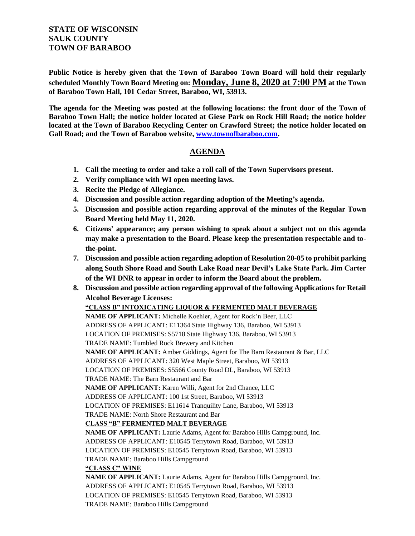## **STATE OF WISCONSIN SAUK COUNTY TOWN OF BARABOO**

**Public Notice is hereby given that the Town of Baraboo Town Board will hold their regularly scheduled Monthly Town Board Meeting on: Monday, June 8, 2020 at 7:00 PM at the Town of Baraboo Town Hall, 101 Cedar Street, Baraboo, WI, 53913.**

**The agenda for the Meeting was posted at the following locations: the front door of the Town of Baraboo Town Hall; the notice holder located at Giese Park on Rock Hill Road; the notice holder located at the Town of Baraboo Recycling Center on Crawford Street; the notice holder located on Gall Road; and the Town of Baraboo website, [www.townofbaraboo.com.](file:///C:/Users/Clerk/Documents/www.townofbaraboo.com)**

## **AGENDA**

- **1. Call the meeting to order and take a roll call of the Town Supervisors present.**
- **2. Verify compliance with WI open meeting laws.**
- **3. Recite the Pledge of Allegiance.**
- **4. Discussion and possible action regarding adoption of the Meeting's agenda.**
- **5. Discussion and possible action regarding approval of the minutes of the Regular Town Board Meeting held May 11, 2020.**
- **6. Citizens' appearance; any person wishing to speak about a subject not on this agenda may make a presentation to the Board. Please keep the presentation respectable and tothe-point.**
- **7. Discussion and possible action regarding adoption of Resolution 20-05 to prohibit parking along South Shore Road and South Lake Road near Devil's Lake State Park. Jim Carter of the WI DNR to appear in order to inform the Board about the problem.**
- **8. Discussion and possible action regarding approval of the following Applications for Retail Alcohol Beverage Licenses:**

## **"CLASS B" INTOXICATING LIQUOR & FERMENTED MALT BEVERAGE**

**NAME OF APPLICANT:** Michelle Koehler, Agent for Rock'n Beer, LLC ADDRESS OF APPLICANT: E11364 State Highway 136, Baraboo, WI 53913 LOCATION OF PREMISES: S5718 State Highway 136, Baraboo, WI 53913 TRADE NAME: Tumbled Rock Brewery and Kitchen **NAME OF APPLICANT:** Amber Giddings, Agent for The Barn Restaurant & Bar, LLC ADDRESS OF APPLICANT: 320 West Maple Street, Baraboo, WI 53913 LOCATION OF PREMISES: S5566 County Road DL, Baraboo, WI 53913 TRADE NAME: The Barn Restaurant and Bar **NAME OF APPLICANT:** Karen Willi, Agent for 2nd Chance, LLC ADDRESS OF APPLICANT: 100 1st Street, Baraboo, WI 53913 LOCATION OF PREMISES: E11614 Tranquility Lane, Baraboo, WI 53913 TRADE NAME: North Shore Restaurant and Bar **CLASS "B" FERMENTED MALT BEVERAGE**

**NAME OF APPLICANT:** Laurie Adams, Agent for Baraboo Hills Campground, Inc. ADDRESS OF APPLICANT: E10545 Terrytown Road, Baraboo, WI 53913 LOCATION OF PREMISES: E10545 Terrytown Road, Baraboo, WI 53913 TRADE NAME: Baraboo Hills Campground

## **"CLASS C" WINE**

**NAME OF APPLICANT:** Laurie Adams, Agent for Baraboo Hills Campground, Inc. ADDRESS OF APPLICANT: E10545 Terrytown Road, Baraboo, WI 53913 LOCATION OF PREMISES: E10545 Terrytown Road, Baraboo, WI 53913 TRADE NAME: Baraboo Hills Campground